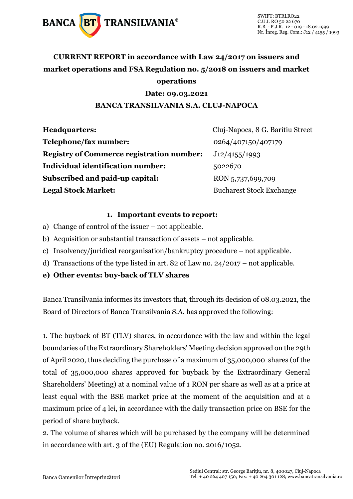

## **CURRENT REPORT in accordance with Law 24/2017 on issuers and market operations and FSA Regulation no. 5/2018 on issuers and market operations**

### **Date: 09.03.2021**

### **BANCA TRANSILVANIA S.A. CLUJ-NAPOCA**

| <b>Headquarters:</b>                             | Cluj-Napoca, 8 G. Baritiu Street |
|--------------------------------------------------|----------------------------------|
| Telephone/fax number:                            | 0264/407150/407179               |
| <b>Registry of Commerce registration number:</b> | J12/4155/1993                    |
| Individual identification number:                | 5022670                          |
| Subscribed and paid-up capital:                  | RON 5,737,699,709                |
| <b>Legal Stock Market:</b>                       | <b>Bucharest Stock Exchange</b>  |

#### **1. Important events to report:**

- a) Change of control of the issuer not applicable.
- b) Acquisition or substantial transaction of assets not applicable.
- c) Insolvency/juridical reorganisation/bankruptcy procedure not applicable.
- d) Transactions of the type listed in art. 82 of Law no. 24/2017 not applicable.
- **e) Other events: buy-back of TLV shares**

Banca Transilvania informes its investors that, through its decision of 08.03.2021, the Board of Directors of Banca Transilvania S.A. has approved the following:

1. The buyback of BT (TLV) shares, in accordance with the law and within the legal boundaries of the Extraordinary Shareholders' Meeting decision approved on the 29th of April 2020, thus deciding the purchase of a maximum of 35,000,000 shares (of the total of 35,000,000 shares approved for buyback by the Extraordinary General Shareholders' Meeting) at a nominal value of 1 RON per share as well as at a price at least equal with the BSE market price at the moment of the acquisition and at a maximum price of 4 lei, in accordance with the daily transaction price on BSE for the period of share buyback.

2. The volume of shares which will be purchased by the company will be determined in accordance with art. 3 of the (EU) Regulation no. 2016/1052.